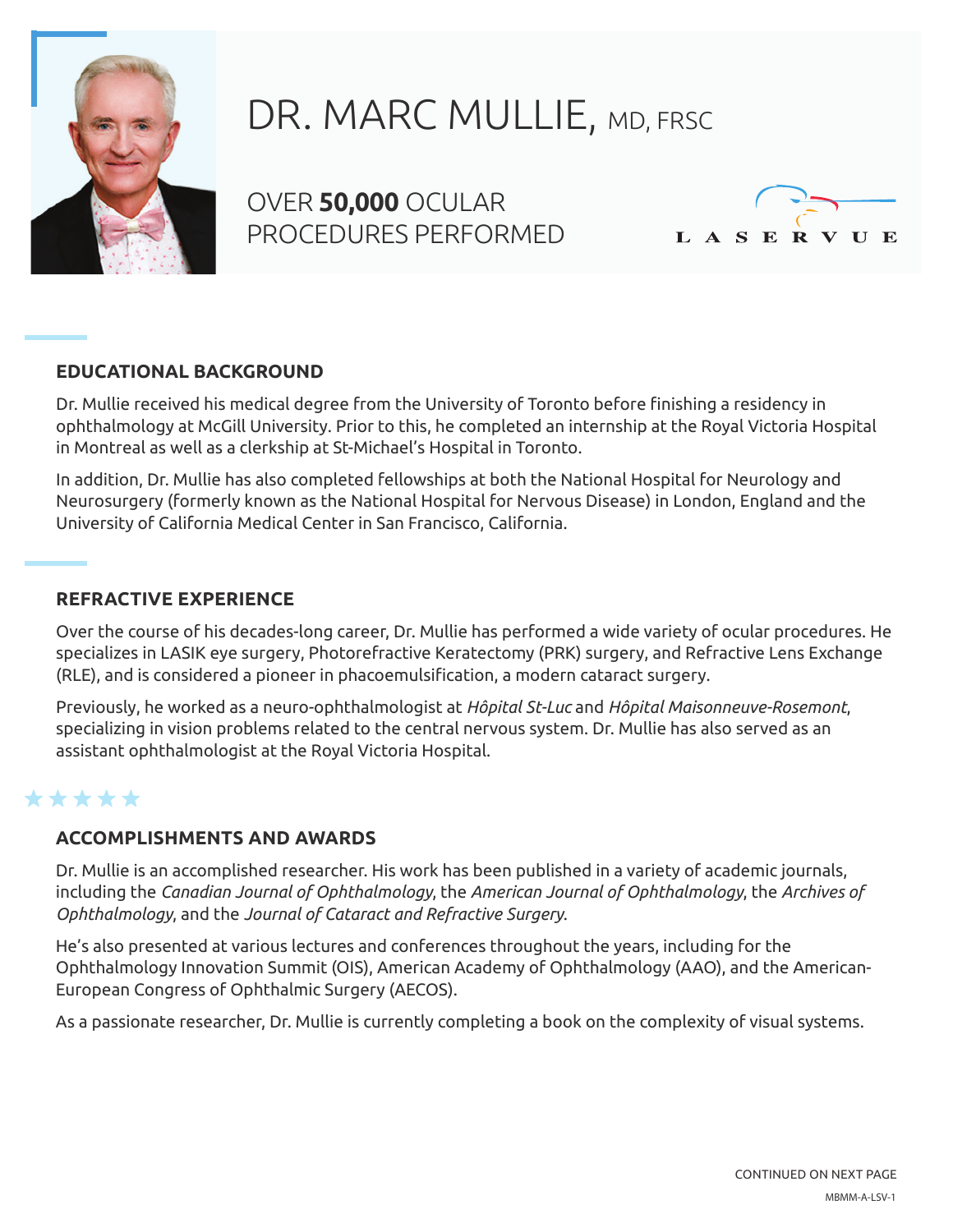

# DR. MARC MULLIE, MD, FRSC

OVER **50,000** OCULAR PROCEDURES PERFORMED



## **EDUCATIONAL BACKGROUND**

Dr. Mullie received his medical degree from the University of Toronto before finishing a residency in ophthalmology at McGill University. Prior to this, he completed an internship at the Royal Victoria Hospital in Montreal as well as a clerkship at St-Michael's Hospital in Toronto.

In addition, Dr. Mullie has also completed fellowships at both the National Hospital for Neurology and Neurosurgery (formerly known as the National Hospital for Nervous Disease) in London, England and the University of California Medical Center in San Francisco, California.

### **REFRACTIVE EXPERIENCE**

Over the course of his decades-long career, Dr. Mullie has performed a wide variety of ocular procedures. He specializes in LASIK eye surgery, Photorefractive Keratectomy (PRK) surgery, and Refractive Lens Exchange (RLE), and is considered a pioneer in phacoemulsification, a modern cataract surgery.

Previously, he worked as a neuro-ophthalmologist at *Hôpital St-Luc* and *Hôpital Maisonneuve-Rosemont*, specializing in vision problems related to the central nervous system. Dr. Mullie has also served as an assistant ophthalmologist at the Royal Victoria Hospital.

## \*\*\*\*\*

### **ACCOMPLISHMENTS AND AWARDS**

Dr. Mullie is an accomplished researcher. His work has been published in a variety of academic journals, including the *Canadian Journal of Ophthalmology*, the *American Journal of Ophthalmology*, the *Archives of Ophthalmology*, and the *Journal of Cataract and Refractive Surgery*.

He's also presented at various lectures and conferences throughout the years, including for the Ophthalmology Innovation Summit (OIS), American Academy of Ophthalmology (AAO), and the American-European Congress of Ophthalmic Surgery (AECOS).

As a passionate researcher, Dr. Mullie is currently completing a book on the complexity of visual systems.